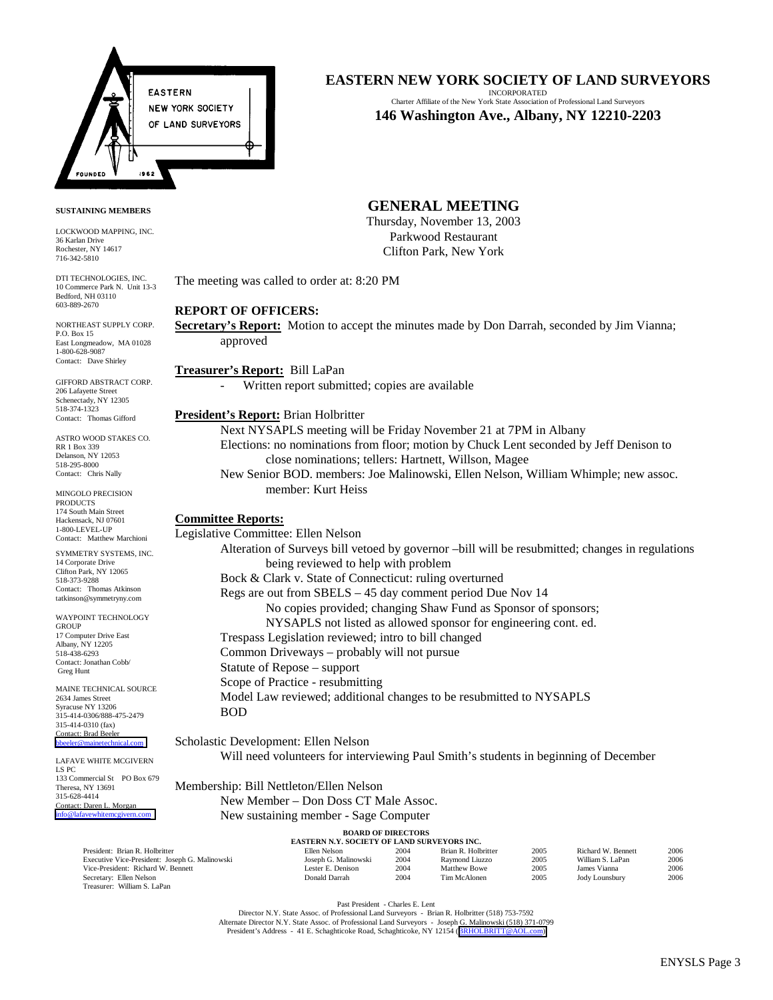

#### **EASTERN NEW YORK SOCIETY OF LAND SURVEYORS** INCORPORATED

Charter Affiliate of the New York State Association of Professional Land Surveyors **146 Washington Ave., Albany, NY 12210-2203**

#### **SUSTAINING MEMBERS**

LOCKWOOD MAPPING, INC. 36 Karlan Drive Rochester, NY 14617 716-342-5810

DTI TECHNOLOGIES, INC. 10 Commerce Park N. Unit 13-3 Bedford, NH 03110 603-889-2670

NORTHEAST SUPPLY CORP. P.O. Box 15 East Longmeadow, MA 01028 1-800-628-9087 Contact: Dave Shirley

GIFFORD ABSTRACT CORP. 206 Lafayette Street Schenectady, NY 12305 518-374-1323 Contact: Thomas Gifford

ASTRO WOOD STAKES CO. RR 1 Box 339 Delanson, NY 12053 518-295-8000 Contact: Chris Nally

MINGOLO PRECISION PRODUCTS 174 South Main Street Hackensack, NJ 07601 1-800-LEVEL-UP Contact: Matthew Marchioni

SYMMETRY SYSTEMS, INC. 14 Corporate Drive Clifton Park, NY 12065 518-373-9288 Contact: Thomas Atkinson tatkinson@symmetryny.com

WAYPOINT TECHNOLOGY **GROUP** 17 Computer Drive East Albany, NY 12205 518-438-6293 Contact: Jonathan Cobb/ Greg Hunt

MAINE TECHNICAL SOURCE 2634 James Street Syracuse NY 13206 315-414-0306/888-475-2479 315-414-0310 (fax) Contact: Brad Beeler [bbeeler@mainetechnical.com](mailto:bbeeler@mainetechnical.com)

LAFAVE WHITE MCGIVERN LS PC 133 Commercial St PO Box 679 Theresa, NY 13691 315-628-4414 Contact: Daren L. Morgan [info@lafavewhitemcgivern.com](mailto:info@lafavewhitemcgivern.com)

Treasurer: William S. LaPan

# **GENERAL MEETING**

Thursday, November 13, 2003 Parkwood Restaurant Clifton Park, New York

The meeting was called to order at: 8:20 PM

### **REPORT OF OFFICERS:**

**Secretary's Report:** Motion to accept the minutes made by Don Darrah, seconded by Jim Vianna; approved

### **Treasurer's Report:** Bill LaPan

Written report submitted; copies are available

#### **President's Report:** Brian Holbritter

Next NYSAPLS meeting will be Friday November 21 at 7PM in Albany Elections: no nominations from floor; motion by Chuck Lent seconded by Jeff Denison to close nominations; tellers: Hartnett, Willson, Magee New Senior BOD. members: Joe Malinowski, Ellen Nelson, William Whimple; new assoc. member: Kurt Heiss

#### **Committee Reports:**

Legislative Committee: Ellen Nelson Alteration of Surveys bill vetoed by governor –bill will be resubmitted; changes in regulations being reviewed to help with problem Bock & Clark v. State of Connecticut: ruling overturned Regs are out from SBELS – 45 day comment period Due Nov 14 No copies provided; changing Shaw Fund as Sponsor of sponsors; NYSAPLS not listed as allowed sponsor for engineering cont. ed. Trespass Legislation reviewed; intro to bill changed Common Driveways – probably will not pursue Statute of Repose – support Scope of Practice - resubmitting Model Law reviewed; additional changes to be resubmitted to NYSAPLS BOD

Scholastic Development: Ellen Nelson Will need volunteers for interviewing Paul Smith's students in beginning of December

Membership: Bill Nettleton/Ellen Nelson

New Member – Don Doss CT Male Assoc.

New sustaining member - Sage Computer

#### **BOARD OF DIRECTORS**

| <b>EASTERN N.Y. SOCIETY OF LAND SURVEYORS INC.</b> |                      |      |                     |      |                    |      |  |  |  |  |
|----------------------------------------------------|----------------------|------|---------------------|------|--------------------|------|--|--|--|--|
| President: Brian R. Holbritter                     | Ellen Nelson         | 2004 | Brian R. Holbritter | 2005 | Richard W. Bennett | 2006 |  |  |  |  |
| Executive Vice-President: Joseph G. Malinowski     | Joseph G. Malinowski | 2004 | Raymond Liuzzo      | 2005 | William S. LaPan   | 2006 |  |  |  |  |
| Vice-President: Richard W. Bennett                 | Lester E. Denison    | 2004 | Matthew Bowe        | 2005 | Vianna<br>lames.   | 2006 |  |  |  |  |
| Secretary: Ellen Nelson                            | Donald Darrah        | 2004 | Tim McAlonen        | 2005 | Jody Lounsbury     | 2006 |  |  |  |  |

Past President - Charles E. Lent

Director N.Y. State Assoc. of Professional Land Surveyors - Brian R. Holbritter (518) 753-7592 Alternate Director N.Y. State Assoc. of Professional Land Surveyors - Joseph G. Malinowski (518) 371-0799<br>President's Address - 41 E. Schaghticoke Road, Schaghticoke, NY 12154 ([BRHOLBRITT@AOL.com\)](mailto:BRHOLBRITT@AOL.com)